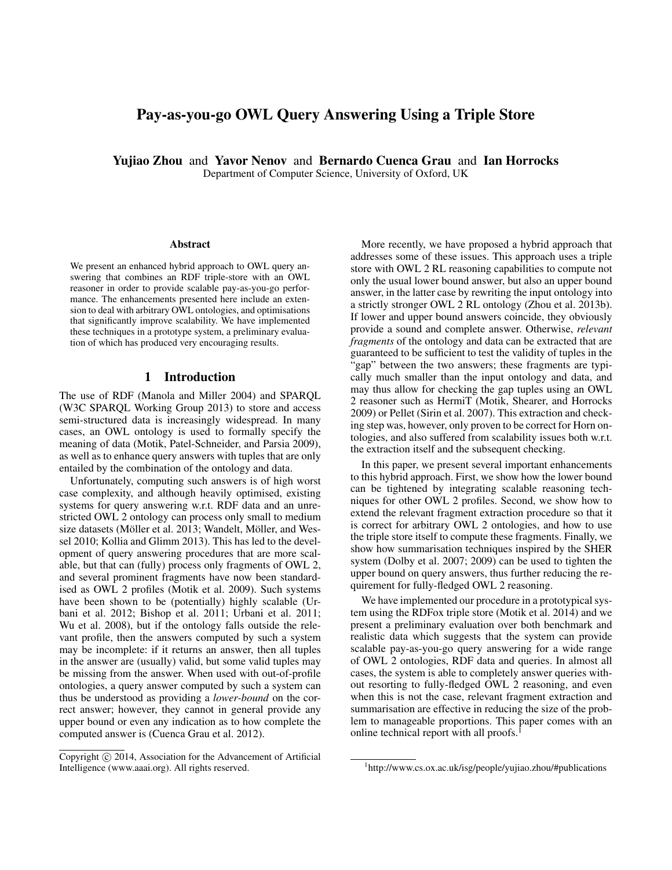# Pay-as-you-go OWL Query Answering Using a Triple Store

Yujiao Zhou and Yavor Nenov and Bernardo Cuenca Grau and Ian Horrocks Department of Computer Science, University of Oxford, UK

#### Abstract

We present an enhanced hybrid approach to OWL query answering that combines an RDF triple-store with an OWL reasoner in order to provide scalable pay-as-you-go performance. The enhancements presented here include an extension to deal with arbitrary OWL ontologies, and optimisations that significantly improve scalability. We have implemented these techniques in a prototype system, a preliminary evaluation of which has produced very encouraging results.

#### 1 Introduction

The use of RDF (Manola and Miller 2004) and SPARQL (W3C SPARQL Working Group 2013) to store and access semi-structured data is increasingly widespread. In many cases, an OWL ontology is used to formally specify the meaning of data (Motik, Patel-Schneider, and Parsia 2009), as well as to enhance query answers with tuples that are only entailed by the combination of the ontology and data.

Unfortunately, computing such answers is of high worst case complexity, and although heavily optimised, existing systems for query answering w.r.t. RDF data and an unrestricted OWL 2 ontology can process only small to medium size datasets (Möller et al. 2013; Wandelt, Möller, and Wessel 2010; Kollia and Glimm 2013). This has led to the development of query answering procedures that are more scalable, but that can (fully) process only fragments of OWL 2, and several prominent fragments have now been standardised as OWL 2 profiles (Motik et al. 2009). Such systems have been shown to be (potentially) highly scalable (Urbani et al. 2012; Bishop et al. 2011; Urbani et al. 2011; Wu et al. 2008), but if the ontology falls outside the relevant profile, then the answers computed by such a system may be incomplete: if it returns an answer, then all tuples in the answer are (usually) valid, but some valid tuples may be missing from the answer. When used with out-of-profile ontologies, a query answer computed by such a system can thus be understood as providing a *lower-bound* on the correct answer; however, they cannot in general provide any upper bound or even any indication as to how complete the computed answer is (Cuenca Grau et al. 2012).

More recently, we have proposed a hybrid approach that addresses some of these issues. This approach uses a triple store with OWL 2 RL reasoning capabilities to compute not only the usual lower bound answer, but also an upper bound answer, in the latter case by rewriting the input ontology into a strictly stronger OWL 2 RL ontology (Zhou et al. 2013b). If lower and upper bound answers coincide, they obviously provide a sound and complete answer. Otherwise, *relevant fragments* of the ontology and data can be extracted that are guaranteed to be sufficient to test the validity of tuples in the "gap" between the two answers; these fragments are typically much smaller than the input ontology and data, and may thus allow for checking the gap tuples using an OWL 2 reasoner such as HermiT (Motik, Shearer, and Horrocks 2009) or Pellet (Sirin et al. 2007). This extraction and checking step was, however, only proven to be correct for Horn ontologies, and also suffered from scalability issues both w.r.t. the extraction itself and the subsequent checking.

In this paper, we present several important enhancements to this hybrid approach. First, we show how the lower bound can be tightened by integrating scalable reasoning techniques for other OWL 2 profiles. Second, we show how to extend the relevant fragment extraction procedure so that it is correct for arbitrary OWL 2 ontologies, and how to use the triple store itself to compute these fragments. Finally, we show how summarisation techniques inspired by the SHER system (Dolby et al. 2007; 2009) can be used to tighten the upper bound on query answers, thus further reducing the requirement for fully-fledged OWL 2 reasoning.

We have implemented our procedure in a prototypical system using the RDFox triple store (Motik et al. 2014) and we present a preliminary evaluation over both benchmark and realistic data which suggests that the system can provide scalable pay-as-you-go query answering for a wide range of OWL 2 ontologies, RDF data and queries. In almost all cases, the system is able to completely answer queries without resorting to fully-fledged OWL 2 reasoning, and even when this is not the case, relevant fragment extraction and summarisation are effective in reducing the size of the problem to manageable proportions. This paper comes with an online technical report with all proofs.<sup>1</sup>

Copyright  $\odot$  2014, Association for the Advancement of Artificial Intelligence (www.aaai.org). All rights reserved.

<sup>1</sup> http://www.cs.ox.ac.uk/isg/people/yujiao.zhou/#publications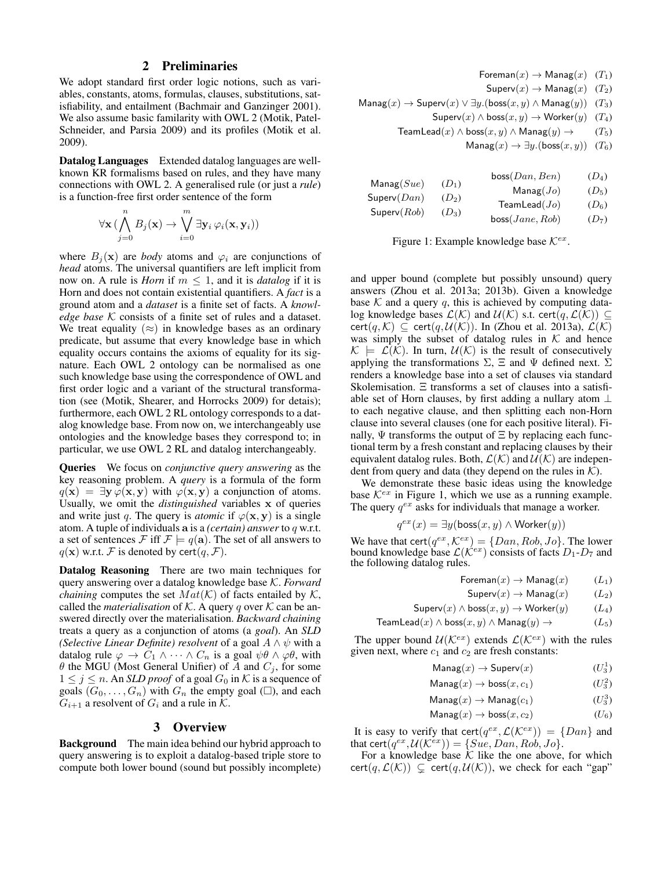### 2 Preliminaries

We adopt standard first order logic notions, such as variables, constants, atoms, formulas, clauses, substitutions, satisfiability, and entailment (Bachmair and Ganzinger 2001). We also assume basic familarity with OWL 2 (Motik, Patel-Schneider, and Parsia 2009) and its profiles (Motik et al. 2009).

Datalog Languages Extended datalog languages are wellknown KR formalisms based on rules, and they have many connections with OWL 2. A generalised rule (or just a *rule*) is a function-free first order sentence of the form

$$
\forall \mathbf{x} \, (\bigwedge_{j=0}^{n} B_j(\mathbf{x}) \to \bigvee_{i=0}^{m} \exists \mathbf{y}_i \, \varphi_i(\mathbf{x}, \mathbf{y}_i))
$$

where  $B_i(\mathbf{x})$  are *body* atoms and  $\varphi_i$  are conjunctions of *head* atoms. The universal quantifiers are left implicit from now on. A rule is *Horn* if  $m \leq 1$ , and it is *datalog* if it is Horn and does not contain existential quantifiers. A *fact* is a ground atom and a *dataset* is a finite set of facts. A *knowledge base* K consists of a finite set of rules and a dataset. We treat equality  $(\approx)$  in knowledge bases as an ordinary predicate, but assume that every knowledge base in which equality occurs contains the axioms of equality for its signature. Each OWL 2 ontology can be normalised as one such knowledge base using the correspondence of OWL and first order logic and a variant of the structural transformation (see (Motik, Shearer, and Horrocks 2009) for detais); furthermore, each OWL 2 RL ontology corresponds to a datalog knowledge base. From now on, we interchangeably use ontologies and the knowledge bases they correspond to; in particular, we use OWL 2 RL and datalog interchangeably.

Queries We focus on *conjunctive query answering* as the key reasoning problem. A *query* is a formula of the form  $q(x) = \exists y \varphi(x, y)$  with  $\varphi(x, y)$  a conjunction of atoms. Usually, we omit the *distinguished* variables x of queries and write just q. The query is *atomic* if  $\varphi(\mathbf{x}, \mathbf{y})$  is a single atom. A tuple of individuals a is a *(certain) answer* to q w.r.t. a set of sentences F iff  $\mathcal{F} \models q(\mathbf{a})$ . The set of all answers to  $q(\mathbf{x})$  w.r.t. F is denoted by cert $(q, \mathcal{F})$ .

Datalog Reasoning There are two main techniques for query answering over a datalog knowledge base K. *Forward chaining* computes the set  $Mat(\mathcal{K})$  of facts entailed by  $\mathcal{K}$ , called the *materialisation* of K. A query q over K can be answered directly over the materialisation. *Backward chaining* treats a query as a conjunction of atoms (a *goal*). An *SLD (Selective Linear Definite) resolvent* of a goal  $A \wedge \psi$  with a datalog rule  $\varphi \to C_1 \wedge \cdots \wedge C_n$  is a goal  $\psi \theta \wedge \varphi \theta$ , with  $\theta$  the MGU (Most General Unifier) of A and  $C_j$ , for some  $1 \leq j \leq n$ . An *SLD proof* of a goal  $G_0$  in K is a sequence of goals  $(G_0, \ldots, G_n)$  with  $G_n$  the empty goal ( $\square$ ), and each  $G_{i+1}$  a resolvent of  $G_i$  and a rule in  $K$ .

### 3 Overview

Background The main idea behind our hybrid approach to query answering is to exploit a datalog-based triple store to compute both lower bound (sound but possibly incomplete)

| Foreman $(x) \rightarrow$ Manag $(x)$ $(T_1)$                |  |
|--------------------------------------------------------------|--|
| $\mathsf{Superv}(x) \to \mathsf{Manag}(x)$ (T <sub>2</sub> ) |  |
|                                                              |  |

 $\textsf{Management}(x)$  → Superv $(x)$   $\lor \exists y.(\textsf{boss}(x,y) \land \textsf{Management}(y))$  (T<sub>3</sub>)

$$
\mathsf{Superv}(x) \land \mathsf{boss}(x, y) \to \mathsf{Worker}(y) \quad (T_4)
$$

TeamLead(x)  $\land$  boss(x, y)  $\land$  Manag(y)  $\rightarrow$  (T<sub>5</sub>)

 $\text{Manag}(x) \rightarrow \exists y.(\text{boss}(x, y))$  (T<sub>6</sub>)

| $\mathsf{Manag}(Sue)$ |         | boss(Dan, Ben)       | $(D_4)$ |
|-----------------------|---------|----------------------|---------|
|                       | $(D_1)$ | $\mathsf{Manag}(Jo)$ | $(D_5)$ |
| Superv(Dan)           | $(D_2)$ | TeamLead(Jo)         | $(D_6)$ |
| Superv(Rob)           | $(D_3)$ | boss(Jane, Rob)      | $(D_7)$ |

Figure 1: Example knowledge base  $\mathcal{K}^{ex}$ .

and upper bound (complete but possibly unsound) query answers (Zhou et al. 2013a; 2013b). Given a knowledge base  $K$  and a query  $q$ , this is achieved by computing datalog knowledge bases  $\mathcal{L}(\mathcal{K})$  and  $\mathcal{U}(\mathcal{K})$  s.t. cert $(q, \mathcal{L}(\mathcal{K})) \subseteq$ cert $(q, \mathcal{K}) \subseteq$  cert $(q, \mathcal{U}(\mathcal{K}))$ . In (Zhou et al. 2013a),  $\mathcal{L}(\mathcal{K})$ was simply the subset of datalog rules in  $K$  and hence  $\mathcal{K} \models \mathcal{L}(\mathcal{K})$ . In turn,  $\mathcal{U}(\mathcal{K})$  is the result of consecutively applying the transformations  $\Sigma$ ,  $\Xi$  and  $\Psi$  defined next.  $\Sigma$ renders a knowledge base into a set of clauses via standard Skolemisation. Ξ transforms a set of clauses into a satisfiable set of Horn clauses, by first adding a nullary atom ⊥ to each negative clause, and then splitting each non-Horn clause into several clauses (one for each positive literal). Finally,  $\Psi$  transforms the output of  $\Xi$  by replacing each functional term by a fresh constant and replacing clauses by their equivalent datalog rules. Both,  $\mathcal{L}(\mathcal{K})$  and  $\mathcal{U}(\mathcal{K})$  are independent from query and data (they depend on the rules in  $K$ ).

We demonstrate these basic ideas using the knowledge base  $K^{ex}$  in Figure 1, which we use as a running example. The query  $q^{ex}$  asks for individuals that manage a worker.

$$
q^{ex}(x) = \exists y (\text{boss}(x, y) \land \text{Worker}(y))
$$

We have that  $\text{cert}(q^{ex}, \mathcal{K}^{ex}) = \{Dan, Rob, Jo\}$ . The lower bound knowledge base  $\mathcal{L}(\mathcal{K}^{ex})$  consists of facts  $D_1 - D_7$  and the following datalog rules.

Foreman $(x) \rightarrow$  Manag $(x)$  (L<sub>1</sub>)

$$
\mathsf{Superv}(x) \to \mathsf{Manag}(x) \qquad (L_2)
$$

$$
\mathsf{Superv}(x) \land \mathsf{boss}(x, y) \to \mathsf{Worker}(y) \tag{L_4}
$$

$$
Teamlead(x) \land boss(x, y) \land Manag(y) \rightarrow (L_5)
$$

The upper bound  $U(\mathcal{K}^{ex})$  extends  $\mathcal{L}(\mathcal{K}^{ex})$  with the rules given next, where  $c_1$  and  $c_2$  are fresh constants:

$$
\mathsf{Manag}(x) \to \mathsf{Superv}(x) \tag{U_3^1}
$$

$$
\mathsf{Manag}(x) \to \mathsf{boss}(x, c_1) \tag{$U_3^2$}
$$

$$
\mathsf{Manag}(x) \to \mathsf{Manag}(c_1) \tag{U_3^3}
$$

$$
\mathsf{Manag}(x) \to \mathsf{boss}(x, c_2) \tag{U_6}
$$

It is easy to verify that cert $(q^{ex}, \mathcal{L}(\mathcal{K}^{ex})) = \{Dan\}$  and that cert $(q^{ex}, \mathcal{U}(\mathcal{K}^{ex})) = \{Sue, Dan, Rob, Jo\}.$ 

For a knowledge base  $K$  like the one above, for which cert $(q, \mathcal{L}(\mathcal{K})) \subseteq$  cert $(q, \mathcal{U}(\mathcal{K}))$ , we check for each "gap"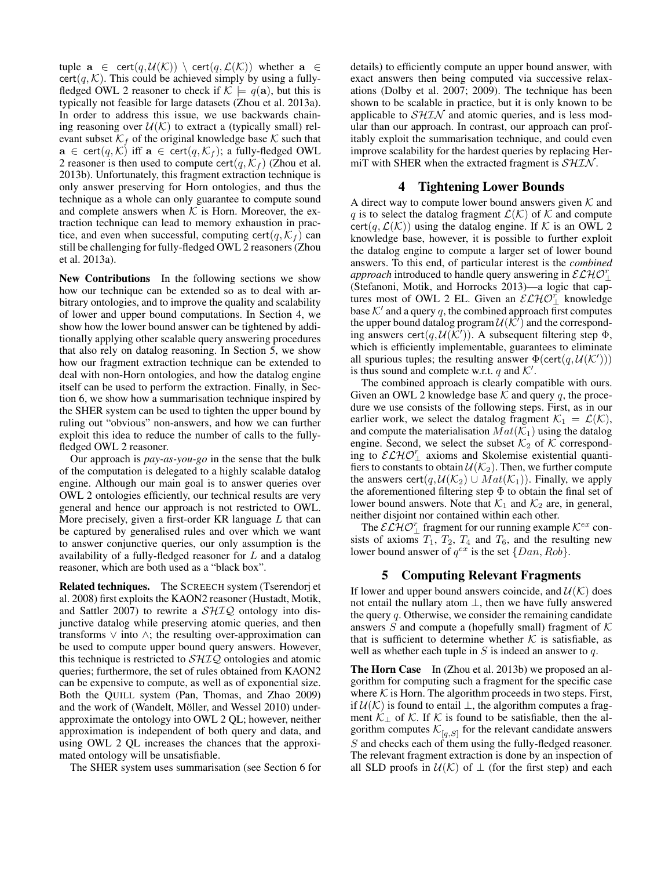tuple  $\mathbf{a} \in \text{cert}(q, \mathcal{U}(\mathcal{K})) \setminus \text{cert}(q, \mathcal{L}(\mathcal{K}))$  whether  $\mathbf{a} \in$  $cert(q, \mathcal{K})$ . This could be achieved simply by using a fullyfledged OWL 2 reasoner to check if  $K \models q(\mathbf{a})$ , but this is typically not feasible for large datasets (Zhou et al. 2013a). In order to address this issue, we use backwards chaining reasoning over  $U(\mathcal{K})$  to extract a (typically small) relevant subset  $\mathcal{K}_f$  of the original knowledge base  $\mathcal K$  such that  $\mathbf{a} \in \text{cert}(q, \mathcal{K})$  iff  $\mathbf{a} \in \text{cert}(q, \mathcal{K}_f)$ ; a fully-fledged OWL 2 reasoner is then used to compute cert $(q, \mathcal{K}_f)$  (Zhou et al. 2013b). Unfortunately, this fragment extraction technique is only answer preserving for Horn ontologies, and thus the technique as a whole can only guarantee to compute sound and complete answers when  $K$  is Horn. Moreover, the extraction technique can lead to memory exhaustion in practice, and even when successful, computing cert $(q, K_f)$  can still be challenging for fully-fledged OWL 2 reasoners (Zhou et al. 2013a).

New Contributions In the following sections we show how our technique can be extended so as to deal with arbitrary ontologies, and to improve the quality and scalability of lower and upper bound computations. In Section 4, we show how the lower bound answer can be tightened by additionally applying other scalable query answering procedures that also rely on datalog reasoning. In Section 5, we show how our fragment extraction technique can be extended to deal with non-Horn ontologies, and how the datalog engine itself can be used to perform the extraction. Finally, in Section 6, we show how a summarisation technique inspired by the SHER system can be used to tighten the upper bound by ruling out "obvious" non-answers, and how we can further exploit this idea to reduce the number of calls to the fullyfledged OWL 2 reasoner.

Our approach is *pay-as-you-go* in the sense that the bulk of the computation is delegated to a highly scalable datalog engine. Although our main goal is to answer queries over OWL 2 ontologies efficiently, our technical results are very general and hence our approach is not restricted to OWL. More precisely, given a first-order KR language  $L$  that can be captured by generalised rules and over which we want to answer conjunctive queries, our only assumption is the availability of a fully-fledged reasoner for L and a datalog reasoner, which are both used as a "black box".

Related techniques. The SCREECH system (Tserendorj et al. 2008) first exploits the KAON2 reasoner (Hustadt, Motik, and Sattler 2007) to rewrite a  $\mathcal{SHIQ}$  ontology into disjunctive datalog while preserving atomic queries, and then transforms ∨ into ∧; the resulting over-approximation can be used to compute upper bound query answers. However, this technique is restricted to  $\mathcal{SHIQ}$  ontologies and atomic queries; furthermore, the set of rules obtained from KAON2 can be expensive to compute, as well as of exponential size. Both the QUILL system (Pan, Thomas, and Zhao 2009) and the work of (Wandelt, Möller, and Wessel 2010) underapproximate the ontology into OWL 2 QL; however, neither approximation is independent of both query and data, and using OWL 2 QL increases the chances that the approximated ontology will be unsatisfiable.

The SHER system uses summarisation (see Section 6 for

details) to efficiently compute an upper bound answer, with exact answers then being computed via successive relaxations (Dolby et al. 2007; 2009). The technique has been shown to be scalable in practice, but it is only known to be applicable to  $\mathcal{SHIN}$  and atomic queries, and is less modular than our approach. In contrast, our approach can profitably exploit the summarisation technique, and could even improve scalability for the hardest queries by replacing HermiT with SHER when the extracted fragment is  $\mathcal{SHIN}$ .

#### 4 Tightening Lower Bounds

A direct way to compute lower bound answers given  $K$  and q is to select the datalog fragment  $\mathcal{L}(\mathcal{K})$  of K and compute cert(q,  $\mathcal{L}(\mathcal{K})$ ) using the datalog engine. If K is an OWL 2 knowledge base, however, it is possible to further exploit the datalog engine to compute a larger set of lower bound answers. To this end, of particular interest is the *combined approach* introduced to handle query answering in  $\mathcal{ELHO}_{\perp}^{r}$ (Stefanoni, Motik, and Horrocks 2013)—a logic that captures most of OWL 2 EL. Given an  $\mathcal{ELHO}_{\perp}^{r}$  knowledge base  $K'$  and a query q, the combined approach first computes the upper bound datalog program  $\mathcal{U}(\hat{\mathcal{K}}')$  and the corresponding answers cert $(q, U(\overline{K}'))$ . A subsequent filtering step  $\Phi$ , which is efficiently implementable, guarantees to eliminate all spurious tuples; the resulting answer  $\Phi(\text{cert}(q, \mathcal{U}(\mathcal{K}')))$ is thus sound and complete w.r.t.  $q$  and  $K'$ .

The combined approach is clearly compatible with ours. Given an OWL 2 knowledge base  $K$  and query q, the procedure we use consists of the following steps. First, as in our earlier work, we select the datalog fragment  $\mathcal{K}_1 = \mathcal{L}(\mathcal{K}),$ and compute the materialisation  $Mat(\mathcal{K}_1)$  using the datalog engine. Second, we select the subset  $\mathcal{K}_2$  of  $\mathcal K$  corresponding to  $\mathcal{ELHO}_{\perp}^{r}$  axioms and Skolemise existential quantifiers to constants to obtain  $\mathcal{U}(\mathcal{K}_2)$ . Then, we further compute the answers cert(q,  $\mathcal{U}(\mathcal{K}_2) \cup Mat(\mathcal{K}_1)$ ). Finally, we apply the aforementioned filtering step Φ to obtain the final set of lower bound answers. Note that  $\mathcal{K}_1$  and  $\mathcal{K}_2$  are, in general, neither disjoint nor contained within each other.

The  $\mathcal{ELHC}_\bot$  fragment for our running example  $\mathcal{K}^{ex}$  consists of axioms  $T_1$ ,  $T_2$ ,  $T_4$  and  $T_6$ , and the resulting new lower bound answer of  $q^{ex}$  is the set  $\{Dan, Rob\}$ .

#### 5 Computing Relevant Fragments

If lower and upper bound answers coincide, and  $\mathcal{U}(\mathcal{K})$  does not entail the nullary atom ⊥, then we have fully answered the query  $q$ . Otherwise, we consider the remaining candidate answers  $S$  and compute a (hopefully small) fragment of  $K$ that is sufficient to determine whether  $K$  is satisfiable, as well as whether each tuple in  $S$  is indeed an answer to  $q$ .

The Horn Case In (Zhou et al. 2013b) we proposed an algorithm for computing such a fragment for the specific case where  $K$  is Horn. The algorithm proceeds in two steps. First, if  $U(K)$  is found to entail ⊥, the algorithm computes a fragment  $\mathcal{K}_\perp$  of  $\mathcal{K}$ . If  $\mathcal{K}$  is found to be satisfiable, then the algorithm computes  $\mathcal{K}_{[q,S]}$  for the relevant candidate answers S and checks each of them using the fully-fledged reasoner. The relevant fragment extraction is done by an inspection of all SLD proofs in  $U(\mathcal{K})$  of  $\perp$  (for the first step) and each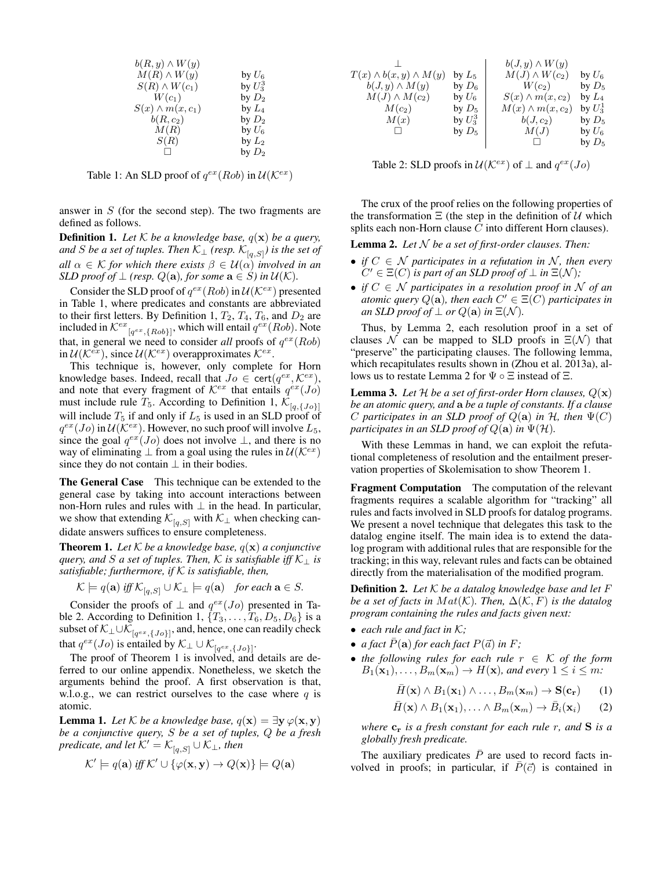| $b(R, y) \wedge W(y)$   |                    |
|-------------------------|--------------------|
| $M(R) \wedge W(y)$      | by $U_{\rm 6}$     |
| $S(R) \wedge W(c_1)$    | by $U_3^3$         |
| $W(c_1)$                | by $D_2$           |
| $S(x) \wedge m(x, c_1)$ | by $\mathit{L}_4$  |
| $b(R,c_2)$              | by $D_2$           |
| M(R)                    | by $U_{\rm 6}$     |
| S(R)                    | by $\mathcal{L}_2$ |
| П                       | by $D_2$           |
|                         |                    |

Table 1: An SLD proof of  $q^{ex}(Rob)$  in  $\mathcal{U}(\mathcal{K}^{ex})$ 

answer in  $S$  (for the second step). The two fragments are defined as follows.

**Definition 1.** Let  $K$  be a knowledge base,  $q(\mathbf{x})$  be a query, and *S* be a set of tuples. Then  $\mathcal{K}_{\bot}$  (resp.  $\mathcal{K}_{[q,S]}$ ) is the set of *all*  $\alpha \in \mathcal{K}$  *for which there exists*  $\beta \in \mathcal{U}(\alpha)$  *involved in an SLD proof of*  $\perp$  *(resp.*  $Q(\mathbf{a})$ *, for some*  $\mathbf{a} \in S$ *) in*  $\mathcal{U}(\mathcal{K})$ *.* 

Consider the SLD proof of  $q^{ex}(Rob)$  in  $\mathcal{U}(\mathcal{K}^{ex})$  presented in Table 1, where predicates and constants are abbreviated to their first letters. By Definition 1,  $T_2$ ,  $T_4$ ,  $T_6$ , and  $D_2$  are included in  $\mathcal{K}^{ex}$ <sub>[q<sup>ex</sup>,{Rob}]</sub>, which will entail  $q^{ex}$ (Rob). Note that, in general we need to consider *all* proofs of  $q^{ex}(Rob)$ in  $\mathcal{U}(\mathcal{K}^{ex})$ , since  $\mathcal{U}(\mathcal{K}^{ex})$  overapproximates  $\mathcal{K}^{ex}$ .

This technique is, however, only complete for Horn knowledge bases. Indeed, recall that  $Jo \in \text{cert}(q^{ex}, \mathcal{K}^{ex})$ , and note that every fragment of  $K^{ex}$  that entails  $q^{ex}(Jo)$ must include rule  $T_5$ . According to Definition 1,  $\overline{\mathcal{K}}_{[q,\{J_0\}]}$ will include  $T_5$  if and only if  $L_5$  is used in an SLD proof of  $q^{ex}(Jo)$  in  $\mathcal{U}(\mathcal{K}^{ex})$ . However, no such proof will involve  $L_5$ , since the goal  $q^{ex}(Jo)$  does not involve  $\perp$ , and there is no way of eliminating  $\perp$  from a goal using the rules in  $\mathcal{U}(\mathcal{K}^{ex})$ since they do not contain  $\perp$  in their bodies.

The General Case This technique can be extended to the general case by taking into account interactions between non-Horn rules and rules with  $\perp$  in the head. In particular, we show that extending  $\mathcal{K}_{[q,S]}$  with  $\mathcal{K}_{\perp}$  when checking candidate answers suffices to ensure completeness.

**Theorem 1.** Let  $K$  be a knowledge base,  $q(\mathbf{x})$  a conjunctive *guery, and* S *a set of tuples. Then,* K *is satisfiable iff*  $K_1$  *is satisfiable; furthermore, if* K *is satisfiable, then,*

$$
\mathcal{K} \models q(\mathbf{a}) \text{ iff } \mathcal{K}_{[q,S]} \cup \mathcal{K}_{\perp} \models q(\mathbf{a}) \quad \text{for each } \mathbf{a} \in S.
$$

Consider the proofs of  $\perp$  and  $q^{ex}(Jo)$  presented in Table 2. According to Definition 1,  $\{T_3, \ldots, T_6, D_5, D_6\}$  is a subset of  $\mathcal{K}_{\perp}\!\cup\!\mathcal{K}_{[q^{ex},\{Jo\}]},$  and, hence, one can readily check that  $q^{ex}(Jo)$  is entailed by  $\mathcal{K}_{\perp} \cup \mathcal{K}_{[q^{ex},\{Jo\}]}$ .

The proof of Theorem 1 is involved, and details are deferred to our online appendix. Nonetheless, we sketch the arguments behind the proof. A first observation is that, w.l.o.g., we can restrict ourselves to the case where  $q$  is atomic.

**Lemma 1.** *Let* K *be a knowledge base*,  $q(\mathbf{x}) = \exists \mathbf{y} \varphi(\mathbf{x}, \mathbf{y})$ *be a conjunctive query,* S *be a set of tuples,* Q *be a fresh predicate, and let*  $K' = K_{[q,S]} \cup K_{\perp}$ *, then* 

$$
\mathcal{K}' \models q(\mathbf{a}) \text{ iff } \mathcal{K}' \cup \{ \varphi(\mathbf{x}, \mathbf{y}) \to Q(\mathbf{x}) \} \models Q(\mathbf{a})
$$

| by $L_5$   |                         | by $U_6$                                      |
|------------|-------------------------|-----------------------------------------------|
| by $D_6$   | $W(c_2)$                | by $D_5$                                      |
| by $U_6$   | $S(x) \wedge m(x, c_2)$ | by $L_4$                                      |
| by $D_5$   | $M(x) \wedge m(x, c_2)$ | by $U_3^1$                                    |
| by $U_3^3$ | $b(J,c_2)$              | by $D_5$                                      |
| by $D_5$   | M(J)                    | by $U_6$                                      |
|            |                         | by $D_5$                                      |
|            |                         | $b(J, y) \wedge W(y)$<br>$M(J) \wedge W(c_2)$ |

Table 2: SLD proofs in  $\mathcal{U}(\mathcal{K}^{ex})$  of  $\perp$  and  $q^{ex}(Jo)$ 

The crux of the proof relies on the following properties of the transformation  $\Xi$  (the step in the definition of  $U$  which splits each non-Horn clause C into different Horn clauses).

Lemma 2. *Let* N *be a set of first-order clauses. Then:*

- *if*  $C \in \mathcal{N}$  participates in a refutation in  $\mathcal{N}$ , then every  $C' \in \Xi(C)$  *is part of an SLD proof of*  $\bot$  *in*  $\Xi(\mathcal{N})$ *;*
- *if* C ∈ N *participates in a resolution proof in* N *of an atomic query*  $Q(\mathbf{a})$ , then each  $C' \in \Xi(\overline{C})$  participates in *an SLD proof of*  $\perp$  *or*  $Q(\mathbf{a})$  *in*  $\Xi(\mathcal{N})$ *.*

Thus, by Lemma 2, each resolution proof in a set of clauses  $\mathcal N$  can be mapped to SLD proofs in  $\Xi(\mathcal N)$  that "preserve" the participating clauses. The following lemma, which recapitulates results shown in (Zhou et al. 2013a), allows us to restate Lemma 2 for  $\Psi \circ \Xi$  instead of  $\Xi$ .

**Lemma 3.** Let  $H$  be a set of first-order Horn clauses,  $Q(\mathbf{x})$ *be an atomic query, and* a *be a tuple of constants. If a clause* C participates in an SLD proof of  $Q(\mathbf{a})$  in  $H$ , then  $\Psi(C)$ *participates in an SLD proof of*  $Q(\mathbf{a})$  *in*  $\Psi(\mathcal{H})$ *.* 

With these Lemmas in hand, we can exploit the refutational completeness of resolution and the entailment preservation properties of Skolemisation to show Theorem 1.

Fragment Computation The computation of the relevant fragments requires a scalable algorithm for "tracking" all rules and facts involved in SLD proofs for datalog programs. We present a novel technique that delegates this task to the datalog engine itself. The main idea is to extend the datalog program with additional rules that are responsible for the tracking; in this way, relevant rules and facts can be obtained directly from the materialisation of the modified program.

Definition 2. *Let* K *be a datalog knowledge base and let* F *be a set of facts in*  $Mat(K)$ *. Then,*  $\Delta(K, F)$  *is the datalog program containing the rules and facts given next:*

- *each rule and fact in* K*;*
- *a fact*  $\overline{P}(\mathbf{a})$  *for each fact*  $P(\vec{a})$  *in*  $F$ *;*
- *the following rules for each rule* r ∈ K *of the form*  $B_1(\mathbf{x}_1), \ldots, B_m(\mathbf{x}_m) \to H(\mathbf{x})$ , and every  $1 \leq i \leq m$ :

$$
\bar{H}(\mathbf{x}) \wedge B_1(\mathbf{x}_1) \wedge \ldots, B_m(\mathbf{x}_m) \to \mathbf{S}(\mathbf{c_r}) \qquad (1)
$$

$$
\bar{H}(\mathbf{x}) \wedge B_1(\mathbf{x}_1), \ldots \wedge B_m(\mathbf{x}_m) \to \bar{B}_i(\mathbf{x}_i) \qquad (2)
$$

*where*  $c_r$  *is a fresh constant for each rule r, and* **S** *is a globally fresh predicate.*

The auxiliary predicates  $\overline{P}$  are used to record facts involved in proofs; in particular, if  $\overline{P}(\overline{c})$  is contained in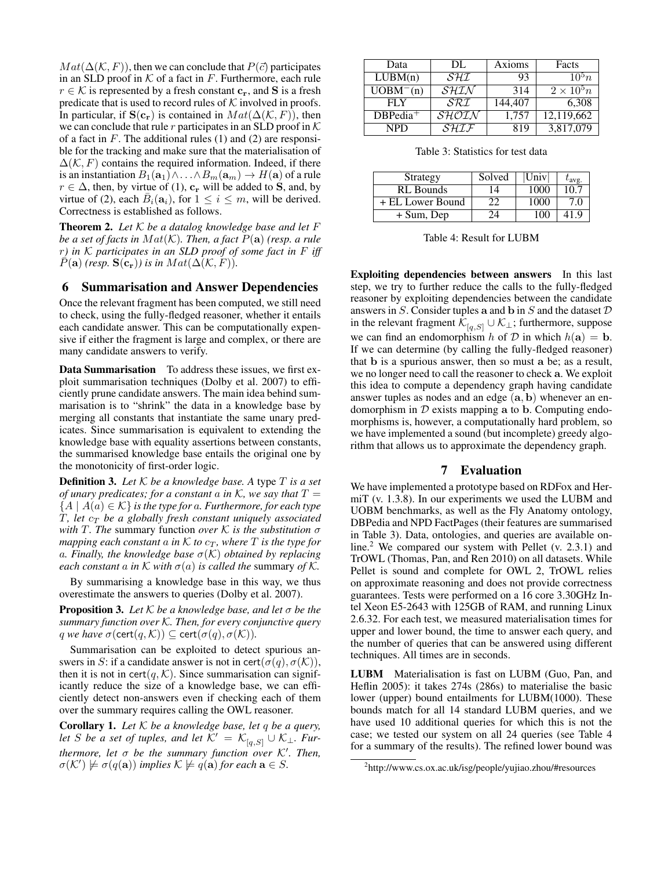$Mat(\Delta(\mathcal{K}, F))$ , then we can conclude that  $P(\vec{c})$  participates in an SLD proof in  $K$  of a fact in  $F$ . Furthermore, each rule  $r \in \mathcal{K}$  is represented by a fresh constant  $c_r$ , and S is a fresh predicate that is used to record rules of  $K$  involved in proofs. In particular, if  $\mathbf{S}(\mathbf{c}_r)$  is contained in  $Mat(\Delta(\mathcal{K}, F))$ , then we can conclude that rule r participates in an SLD proof in  $K$ of a fact in  $F$ . The additional rules (1) and (2) are responsible for the tracking and make sure that the materialisation of  $\Delta(K, F)$  contains the required information. Indeed, if there is an instantiation  $B_1(\mathbf{a}_1) \wedge \ldots \wedge B_m(\mathbf{a}_m) \rightarrow H(\mathbf{a})$  of a rule  $r \in \Delta$ , then, by virtue of (1),  $c_r$  will be added to S, and, by virtue of (2), each  $\bar{B}_i(\mathbf{a}_i)$ , for  $1 \leq i \leq m$ , will be derived. Correctness is established as follows.

Theorem 2. *Let* K *be a datalog knowledge base and let* F *be a set of facts in*  $Mat(K)$ *. Then, a fact*  $P(\mathbf{a})$  *(resp. a rule* r*) in* K *participates in an SLD proof of some fact in* F *iff*  $P(\mathbf{a})$  *(resp.*  $\mathbf{S}(\mathbf{c}_r)$ *) is in*  $Mat(\Delta(\mathcal{K}, F))$ *.* 

# 6 Summarisation and Answer Dependencies

Once the relevant fragment has been computed, we still need to check, using the fully-fledged reasoner, whether it entails each candidate answer. This can be computationally expensive if either the fragment is large and complex, or there are many candidate answers to verify.

Data Summarisation To address these issues, we first exploit summarisation techniques (Dolby et al. 2007) to efficiently prune candidate answers. The main idea behind summarisation is to "shrink" the data in a knowledge base by merging all constants that instantiate the same unary predicates. Since summarisation is equivalent to extending the knowledge base with equality assertions between constants, the summarised knowledge base entails the original one by the monotonicity of first-order logic.

Definition 3. *Let* K *be a knowledge base. A* type T *is a set of unary predicates; for a constant a in K, we say that*  $T =$  ${A \mid A(a) \in \mathcal{K}}$  *is the type for a. Furthermore, for each type* T, let  $c_T$  be a globally fresh constant uniquely associated *with* T*. The* summary function *over* K *is the substitution* σ *mapping each constant a in*  $K$  *to*  $c_T$ *, where*  $T$  *is the type for* a*. Finally, the knowledge base* σ(K) *obtained by replacing each constant* a *in*  $K$  *with*  $\sigma(a)$  *is called the* summary *of*  $K$ *.* 

By summarising a knowledge base in this way, we thus overestimate the answers to queries (Dolby et al. 2007).

Proposition 3. *Let* K *be a knowledge base, and let* σ *be the summary function over* K*. Then, for every conjunctive query q we have*  $\sigma(\text{cert}(q, \mathcal{K})) \subseteq \text{cert}(\sigma(q), \sigma(\mathcal{K}))$ .

Summarisation can be exploited to detect spurious answers in S: if a candidate answer is not in cert( $\sigma(q)$ ,  $\sigma(K)$ ), then it is not in cert $(q, K)$ . Since summarisation can significantly reduce the size of a knowledge base, we can efficiently detect non-answers even if checking each of them over the summary requires calling the OWL reasoner.

Corollary 1. *Let* K *be a knowledge base, let* q *be a query, let* S *be a set of tuples, and let*  $\widetilde{\mathcal{K}}' = \mathcal{K}_{[q,S]} \cup \mathcal{K}_{\perp}$ . Fur*thermore, let σ be the summary function over* K'. Then,  $\sigma(\mathcal{K}') \not\models \sigma(q(\mathbf{a}))$  *implies*  $\mathcal{K} \not\models q(\mathbf{a})$  *for each*  $\mathbf{a} \in S$ .

| Data        | DL.                                   | Axioms  | Facts             |
|-------------|---------------------------------------|---------|-------------------|
| LUBM(n)     | $\mathcal{S} \mathcal{H} \mathcal{I}$ | 93      | $10^5 n$          |
| $UOBM-(n)$  | $S$ H.T.N                             | 314     | $2 \times 10^5 n$ |
| FI Y        | SRI                                   | 144,407 | 6.308             |
| $DBPedia^+$ | SHOIN                                 | 1,757   | 12,119,662        |
| <b>NPD</b>  | $\overline{SHLF}$                     | 819     | 3,817,079         |

Table 3: Statistics for test data

| Strategy         | Solved | Univ | lavg. |
|------------------|--------|------|-------|
| RL Bounds        | 14     | 1000 | 10.7  |
| + EL Lower Bound |        | 1000 | 70    |
| + Sum, Dep       | 24     | 100  |       |

Table 4: Result for LUBM

Exploiting dependencies between answers In this last step, we try to further reduce the calls to the fully-fledged reasoner by exploiting dependencies between the candidate answers in  $S$ . Consider tuples a and b in  $S$  and the dataset  $D$ in the relevant fragment  $\overline{\mathcal{K}}_{[q,S]} \cup \mathcal{K}_{\perp}$ ; furthermore, suppose we can find an endomorphism h of  $D$  in which  $h(\mathbf{a}) = \mathbf{b}$ . If we can determine (by calling the fully-fledged reasoner) that b is a spurious answer, then so must a be; as a result, we no longer need to call the reasoner to check a. We exploit this idea to compute a dependency graph having candidate answer tuples as nodes and an edge (a, b) whenever an endomorphism in  $D$  exists mapping a to b. Computing endomorphisms is, however, a computationally hard problem, so we have implemented a sound (but incomplete) greedy algorithm that allows us to approximate the dependency graph.

# 7 Evaluation

We have implemented a prototype based on RDFox and HermiT (v. 1.3.8). In our experiments we used the LUBM and UOBM benchmarks, as well as the Fly Anatomy ontology, DBPedia and NPD FactPages (their features are summarised in Table 3). Data, ontologies, and queries are available online.<sup>2</sup> We compared our system with Pellet (v. 2.3.1) and TrOWL (Thomas, Pan, and Ren 2010) on all datasets. While Pellet is sound and complete for OWL 2, TrOWL relies on approximate reasoning and does not provide correctness guarantees. Tests were performed on a 16 core 3.30GHz Intel Xeon E5-2643 with 125GB of RAM, and running Linux 2.6.32. For each test, we measured materialisation times for upper and lower bound, the time to answer each query, and the number of queries that can be answered using different techniques. All times are in seconds.

LUBM Materialisation is fast on LUBM (Guo, Pan, and Heflin 2005): it takes 274s (286s) to materialise the basic lower (upper) bound entailments for LUBM(1000). These bounds match for all 14 standard LUBM queries, and we have used 10 additional queries for which this is not the case; we tested our system on all 24 queries (see Table 4 for a summary of the results). The refined lower bound was

<sup>&</sup>lt;sup>2</sup>http://www.cs.ox.ac.uk/isg/people/yujiao.zhou/#resources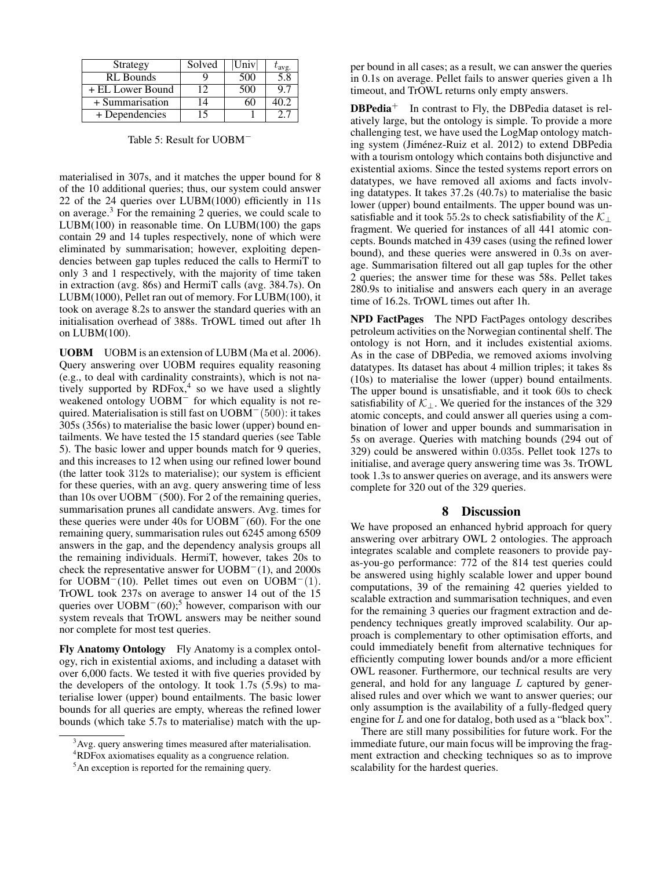| Strategy         | Solved   | Univ |     |
|------------------|----------|------|-----|
| <b>RL</b> Bounds |          | 500  | 5.8 |
| + EL Lower Bound | 12       | 500  |     |
| + Summarisation  | $\Delta$ |      |     |
| + Dependencies   | ' 5      |      |     |

Table 5: Result for UOBM<sup>−</sup>

materialised in 307s, and it matches the upper bound for 8 of the 10 additional queries; thus, our system could answer 22 of the 24 queries over LUBM(1000) efficiently in 11s on average.<sup>3</sup> For the remaining 2 queries, we could scale to LUBM(100) in reasonable time. On LUBM(100) the gaps contain 29 and 14 tuples respectively, none of which were eliminated by summarisation; however, exploiting dependencies between gap tuples reduced the calls to HermiT to only 3 and 1 respectively, with the majority of time taken in extraction (avg. 86s) and HermiT calls (avg. 384.7s). On LUBM(1000), Pellet ran out of memory. For LUBM(100), it took on average 8.2s to answer the standard queries with an initialisation overhead of 388s. TrOWL timed out after 1h on LUBM(100).

UOBM UOBM is an extension of LUBM (Ma et al. 2006). Query answering over UOBM requires equality reasoning (e.g., to deal with cardinality constraints), which is not natively supported by  $RDFox<sup>4</sup>$ , so we have used a slightly weakened ontology UOBM<sup>−</sup> for which equality is not required. Materialisation is still fast on UOBM<sup>−</sup>(500): it takes 305s (356s) to materialise the basic lower (upper) bound entailments. We have tested the 15 standard queries (see Table 5). The basic lower and upper bounds match for 9 queries, and this increases to 12 when using our refined lower bound (the latter took 312s to materialise); our system is efficient for these queries, with an avg. query answering time of less than 10s over UOBM<sup>−</sup>(500). For 2 of the remaining queries, summarisation prunes all candidate answers. Avg. times for these queries were under 40s for UOBM<sup>−</sup>(60). For the one remaining query, summarisation rules out 6245 among 6509 answers in the gap, and the dependency analysis groups all the remaining individuals. HermiT, however, takes 20s to check the representative answer for UOBM<sup>−</sup>(1), and 2000s for UOBM<sup> $-$ </sup>(10). Pellet times out even on UOBM<sup> $-$ </sup>(1). TrOWL took 237s on average to answer 14 out of the 15 queries over  $UOBM<sup>-</sup>(60);$ <sup>5</sup> however, comparison with our system reveals that TrOWL answers may be neither sound nor complete for most test queries.

Fly Anatomy Ontology Fly Anatomy is a complex ontology, rich in existential axioms, and including a dataset with over 6,000 facts. We tested it with five queries provided by the developers of the ontology. It took 1.7s (5.9s) to materialise lower (upper) bound entailments. The basic lower bounds for all queries are empty, whereas the refined lower bounds (which take 5.7s to materialise) match with the upper bound in all cases; as a result, we can answer the queries in 0.1s on average. Pellet fails to answer queries given a 1h timeout, and TrOWL returns only empty answers.

 $DBPedia<sup>+</sup>$  In contrast to Fly, the DBPedia dataset is relatively large, but the ontology is simple. To provide a more challenging test, we have used the LogMap ontology matching system (Jiménez-Ruiz et al. 2012) to extend DBPedia with a tourism ontology which contains both disjunctive and existential axioms. Since the tested systems report errors on datatypes, we have removed all axioms and facts involving datatypes. It takes 37.2s (40.7s) to materialise the basic lower (upper) bound entailments. The upper bound was unsatisfiable and it took 55.2s to check satisfiability of the  $\mathcal{K}_{\perp}$ fragment. We queried for instances of all 441 atomic concepts. Bounds matched in 439 cases (using the refined lower bound), and these queries were answered in 0.3s on average. Summarisation filtered out all gap tuples for the other 2 queries; the answer time for these was 58s. Pellet takes 280.9s to initialise and answers each query in an average time of 16.2s. TrOWL times out after 1h.

NPD FactPages The NPD FactPages ontology describes petroleum activities on the Norwegian continental shelf. The ontology is not Horn, and it includes existential axioms. As in the case of DBPedia, we removed axioms involving datatypes. Its dataset has about 4 million triples; it takes 8s (10s) to materialise the lower (upper) bound entailments. The upper bound is unsatisfiable, and it took 60s to check satisfiability of  $K_{\perp}$ . We queried for the instances of the 329 atomic concepts, and could answer all queries using a combination of lower and upper bounds and summarisation in 5s on average. Queries with matching bounds (294 out of 329) could be answered within 0.035s. Pellet took 127s to initialise, and average query answering time was 3s. TrOWL took 1.3s to answer queries on average, and its answers were complete for 320 out of the 329 queries.

#### 8 Discussion

We have proposed an enhanced hybrid approach for query answering over arbitrary OWL 2 ontologies. The approach integrates scalable and complete reasoners to provide payas-you-go performance: 772 of the 814 test queries could be answered using highly scalable lower and upper bound computations, 39 of the remaining 42 queries yielded to scalable extraction and summarisation techniques, and even for the remaining 3 queries our fragment extraction and dependency techniques greatly improved scalability. Our approach is complementary to other optimisation efforts, and could immediately benefit from alternative techniques for efficiently computing lower bounds and/or a more efficient OWL reasoner. Furthermore, our technical results are very general, and hold for any language  $L$  captured by generalised rules and over which we want to answer queries; our only assumption is the availability of a fully-fledged query engine for L and one for datalog, both used as a "black box".

There are still many possibilities for future work. For the immediate future, our main focus will be improving the fragment extraction and checking techniques so as to improve scalability for the hardest queries.

<sup>&</sup>lt;sup>3</sup>Avg. query answering times measured after materialisation.

<sup>4</sup>RDFox axiomatises equality as a congruence relation.

<sup>&</sup>lt;sup>5</sup>An exception is reported for the remaining query.